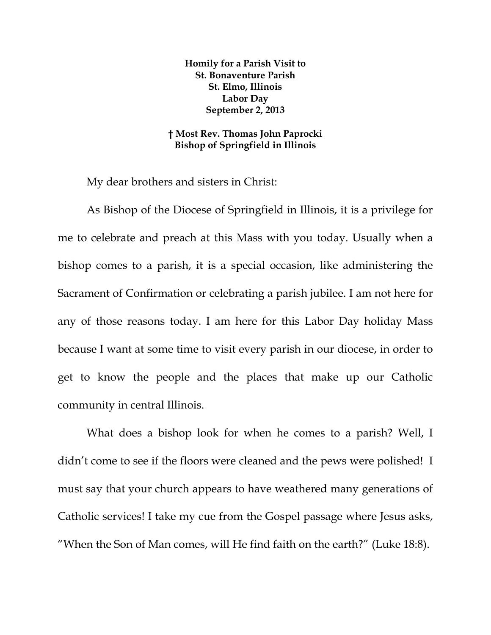**Homily for a Parish Visit to St. Bonaventure Parish St. Elmo, Illinois Labor Day September 2, 2013** 

**† Most Rev. Thomas John Paprocki Bishop of Springfield in Illinois** 

My dear brothers and sisters in Christ:

As Bishop of the Diocese of Springfield in Illinois, it is a privilege for me to celebrate and preach at this Mass with you today. Usually when a bishop comes to a parish, it is a special occasion, like administering the Sacrament of Confirmation or celebrating a parish jubilee. I am not here for any of those reasons today. I am here for this Labor Day holiday Mass because I want at some time to visit every parish in our diocese, in order to get to know the people and the places that make up our Catholic community in central Illinois.

What does a bishop look for when he comes to a parish? Well, I didn't come to see if the floors were cleaned and the pews were polished! I must say that your church appears to have weathered many generations of Catholic services! I take my cue from the Gospel passage where Jesus asks, "When the Son of Man comes, will He find faith on the earth?" (Luke 18:8).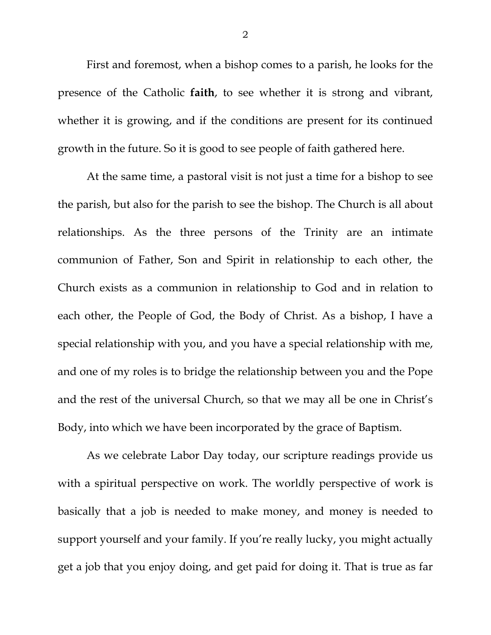First and foremost, when a bishop comes to a parish, he looks for the presence of the Catholic **faith**, to see whether it is strong and vibrant, whether it is growing, and if the conditions are present for its continued growth in the future. So it is good to see people of faith gathered here.

At the same time, a pastoral visit is not just a time for a bishop to see the parish, but also for the parish to see the bishop. The Church is all about relationships. As the three persons of the Trinity are an intimate communion of Father, Son and Spirit in relationship to each other, the Church exists as a communion in relationship to God and in relation to each other, the People of God, the Body of Christ. As a bishop, I have a special relationship with you, and you have a special relationship with me, and one of my roles is to bridge the relationship between you and the Pope and the rest of the universal Church, so that we may all be one in Christ's Body, into which we have been incorporated by the grace of Baptism.

As we celebrate Labor Day today, our scripture readings provide us with a spiritual perspective on work. The worldly perspective of work is basically that a job is needed to make money, and money is needed to support yourself and your family. If you're really lucky, you might actually get a job that you enjoy doing, and get paid for doing it. That is true as far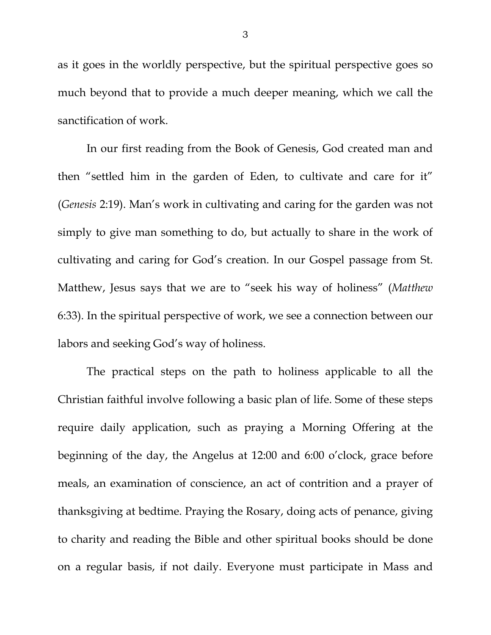as it goes in the worldly perspective, but the spiritual perspective goes so much beyond that to provide a much deeper meaning, which we call the sanctification of work.

In our first reading from the Book of Genesis, God created man and then "settled him in the garden of Eden, to cultivate and care for it" (*Genesis* 2:19). Man's work in cultivating and caring for the garden was not simply to give man something to do, but actually to share in the work of cultivating and caring for God's creation. In our Gospel passage from St. Matthew, Jesus says that we are to "seek his way of holiness" (*Matthew* 6:33). In the spiritual perspective of work, we see a connection between our labors and seeking God's way of holiness.

The practical steps on the path to holiness applicable to all the Christian faithful involve following a basic plan of life. Some of these steps require daily application, such as praying a Morning Offering at the beginning of the day, the Angelus at 12:00 and 6:00 o'clock, grace before meals, an examination of conscience, an act of contrition and a prayer of thanksgiving at bedtime. Praying the Rosary, doing acts of penance, giving to charity and reading the Bible and other spiritual books should be done on a regular basis, if not daily. Everyone must participate in Mass and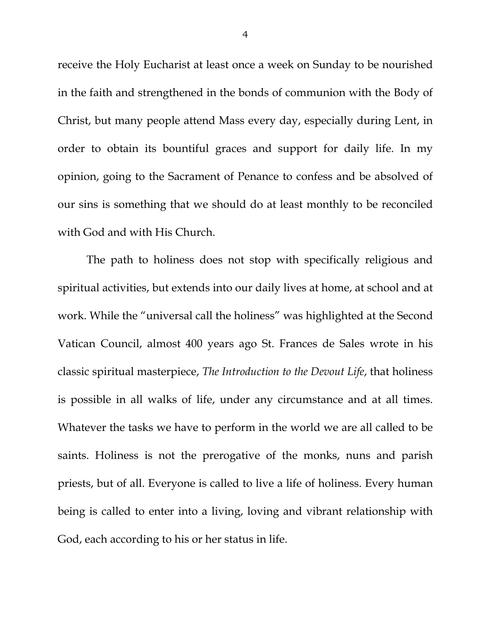receive the Holy Eucharist at least once a week on Sunday to be nourished in the faith and strengthened in the bonds of communion with the Body of Christ, but many people attend Mass every day, especially during Lent, in order to obtain its bountiful graces and support for daily life. In my opinion, going to the Sacrament of Penance to confess and be absolved of our sins is something that we should do at least monthly to be reconciled with God and with His Church.

The path to holiness does not stop with specifically religious and spiritual activities, but extends into our daily lives at home, at school and at work. While the "universal call the holiness" was highlighted at the Second Vatican Council, almost 400 years ago St. Frances de Sales wrote in his classic spiritual masterpiece, *The Introduction to the Devout Life*, that holiness is possible in all walks of life, under any circumstance and at all times. Whatever the tasks we have to perform in the world we are all called to be saints. Holiness is not the prerogative of the monks, nuns and parish priests, but of all. Everyone is called to live a life of holiness. Every human being is called to enter into a living, loving and vibrant relationship with God, each according to his or her status in life.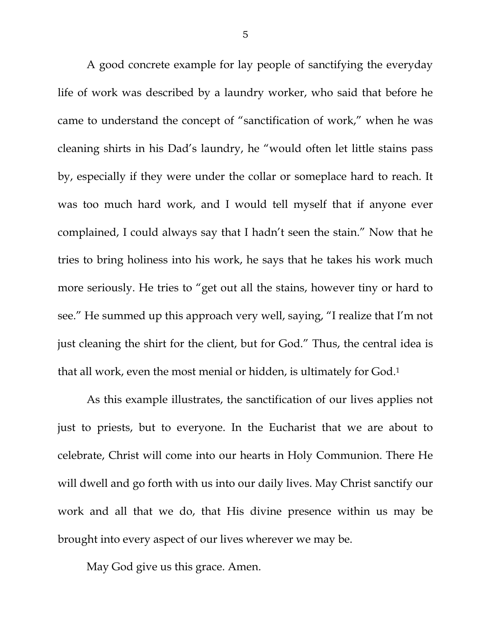A good concrete example for lay people of sanctifying the everyday life of work was described by a laundry worker, who said that before he came to understand the concept of "sanctification of work," when he was cleaning shirts in his Dad's laundry, he "would often let little stains pass by, especially if they were under the collar or someplace hard to reach. It was too much hard work, and I would tell myself that if anyone ever complained, I could always say that I hadn't seen the stain." Now that he tries to bring holiness into his work, he says that he takes his work much more seriously. He tries to "get out all the stains, however tiny or hard to see." He summed up this approach very well, saying, "I realize that I'm not just cleaning the shirt for the client, but for God." Thus, the central idea is that all work, even the most menial or hidden, is ultimately for God.1

As this example illustrates, the sanctification of our lives applies not just to priests, but to everyone. In the Eucharist that we are about to celebrate, Christ will come into our hearts in Holy Communion. There He will dwell and go forth with us into our daily lives. May Christ sanctify our work and all that we do, that His divine presence within us may be brought into every aspect of our lives wherever we may be.

May God give us this grace. Amen.